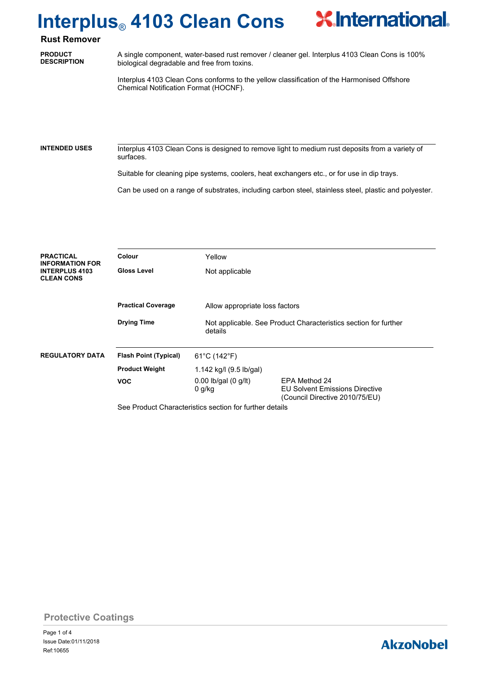# **Interplus**® **4103 Clean Cons**



**PRODUCT DESCRIPTION** A single component, water-based rust remover / cleaner gel. Interplus 4103 Clean Cons is 100% biological degradable and free from toxins.

**X**International

Interplus 4103 Clean Cons conforms to the yellow classification of the Harmonised Offshore Chemical Notification Format (HOCNF).

Interplus 4103 Clean Cons is designed to remove light to medium rust deposits from a variety of surfaces. **INTENDED USES**

Suitable for cleaning pipe systems, coolers, heat exchangers etc., or for use in dip trays.

Can be used on a range of substrates, including carbon steel, stainless steel, plastic and polyester.

| <b>PRACTICAL</b><br><b>INFORMATION FOR</b> | Colour                                                  | Yellow                               |                                                                                          |  |
|--------------------------------------------|---------------------------------------------------------|--------------------------------------|------------------------------------------------------------------------------------------|--|
| <b>INTERPLUS 4103</b><br><b>CLEAN CONS</b> | <b>Gloss Level</b>                                      | Not applicable                       |                                                                                          |  |
|                                            | <b>Practical Coverage</b>                               |                                      | Allow appropriate loss factors                                                           |  |
|                                            | <b>Drying Time</b>                                      | details                              | Not applicable. See Product Characteristics section for further                          |  |
| <b>REGULATORY DATA</b>                     | <b>Flash Point (Typical)</b>                            | $61^{\circ}$ C (142 $^{\circ}$ F)    |                                                                                          |  |
|                                            | <b>Product Weight</b>                                   | 1.142 kg/l (9.5 lb/gal)              |                                                                                          |  |
|                                            | <b>VOC</b>                                              | $0.00$ lb/gal $(0$ g/lt)<br>$0$ g/kg | EPA Method 24<br><b>EU Solvent Emissions Directive</b><br>(Council Directive 2010/75/EU) |  |
|                                            | See Product Characteristics section for further details |                                      |                                                                                          |  |

### **Protective Coatings**

### **AkzoNobel**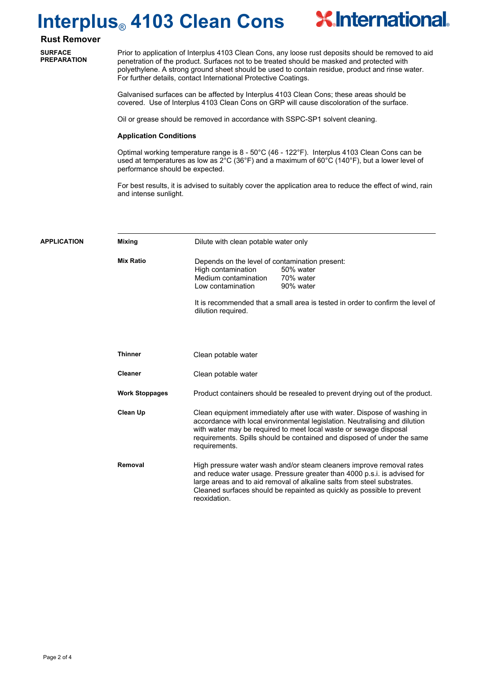# **Interplus**® **4103 Clean Cons**



**SURFACE PREPARATION**

Prior to application of Interplus 4103 Clean Cons, any loose rust deposits should be removed to aid penetration of the product. Surfaces not to be treated should be masked and protected with polyethylene. A strong ground sheet should be used to contain residue, product and rinse water. For further details, contact International Protective Coatings.

**X**International

Galvanised surfaces can be affected by Interplus 4103 Clean Cons; these areas should be covered. Use of Interplus 4103 Clean Cons on GRP will cause discoloration of the surface.

Oil or grease should be removed in accordance with SSPC-SP1 solvent cleaning.

#### **Application Conditions**

Optimal working temperature range is 8 - 50°C (46 - 122°F). Interplus 4103 Clean Cons can be used at temperatures as low as 2°C (36°F) and a maximum of 60°C (140°F), but a lower level of performance should be expected.

For best results, it is advised to suitably cover the application area to reduce the effect of wind, rain and intense sunlight.

| <b>APPLICATION</b> | <b>Mixing</b>         | Dilute with clean potable water only                                                                                                                                                                                                                                                                                   |  |
|--------------------|-----------------------|------------------------------------------------------------------------------------------------------------------------------------------------------------------------------------------------------------------------------------------------------------------------------------------------------------------------|--|
|                    | <b>Mix Ratio</b>      | Depends on the level of contamination present:<br>High contamination<br>50% water<br>Medium contamination<br>70% water<br>90% water<br>Low contamination                                                                                                                                                               |  |
|                    |                       | It is recommended that a small area is tested in order to confirm the level of<br>dilution required.                                                                                                                                                                                                                   |  |
|                    |                       |                                                                                                                                                                                                                                                                                                                        |  |
|                    | <b>Thinner</b>        | Clean potable water                                                                                                                                                                                                                                                                                                    |  |
|                    | <b>Cleaner</b>        | Clean potable water                                                                                                                                                                                                                                                                                                    |  |
|                    | <b>Work Stoppages</b> | Product containers should be resealed to prevent drying out of the product.                                                                                                                                                                                                                                            |  |
|                    | <b>Clean Up</b>       | Clean equipment immediately after use with water. Dispose of washing in<br>accordance with local environmental legislation. Neutralising and dilution<br>with water may be required to meet local waste or sewage disposal<br>requirements. Spills should be contained and disposed of under the same<br>requirements. |  |
|                    | Removal               | High pressure water wash and/or steam cleaners improve removal rates<br>and reduce water usage. Pressure greater than 4000 p.s.i. is advised for<br>large areas and to aid removal of alkaline salts from steel substrates.<br>Cleaned surfaces should be repainted as quickly as possible to prevent<br>reoxidation.  |  |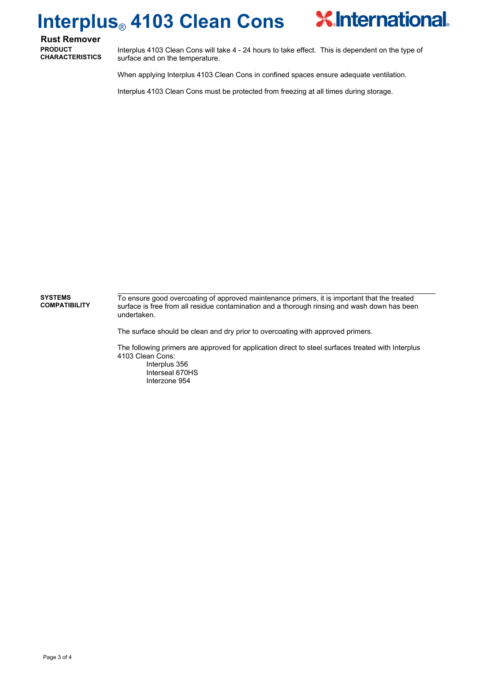### **X** International **Interplus**® **4103 Clean Cons**

**Rust Remover PRODUCT CHARACTERISTICS**

Interplus 4103 Clean Cons will take 4 - 24 hours to take effect. This is dependent on the type of surface and on the temperature.

When applying Interplus 4103 Clean Cons in confined spaces ensure adequate ventilation.

Interplus 4103 Clean Cons must be protected from freezing at all times during storage.

To ensure good overcoating of approved maintenance primers, it is important that the treated surface is free from all residue contamination and a thorough rinsing and wash down has been undertaken. **SYSTEMS COMPATIBILITY**

The surface should be clean and dry prior to overcoating with approved primers.

The following primers are approved for application direct to steel surfaces treated with Interplus 4103 Clean Cons:

Interplus 356 Interseal 670HS Interzone 954